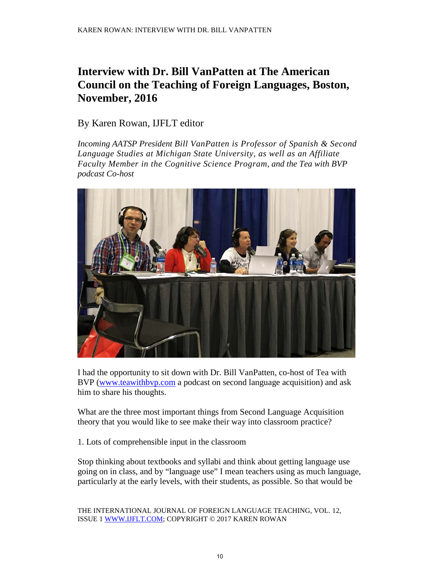## **Interview with Dr. Bill VanPatten at The American Council on the Teaching of Foreign Languages, Boston, November, 2016**

## By Karen Rowan, IJFLT editor

*Incoming AATSP President [Bill VanPatten](https://sites.google.com/site/bvpsla/) is Professor of [Spanish](http://www.rcs.msu.edu/graduate/spanish/) & [Second](http://sls.msu.edu/)  [Language Studies](http://sls.msu.edu/) at Michigan State University, as well as an Affiliate Faculty Member in the [Cognitive Science Program,](http://www.cogsci.msu.edu/) and the Tea with BVP podcast Co-host* 



I had the opportunity to sit down with Dr. Bill VanPatten, co-host of Tea with BVP [\(www.teawithbvp.com](http://www.teawithbvp.com/) a podcast on second language acquisition) and ask him to share his thoughts.

What are the three most important things from Second Language Acquisition theory that you would like to see make their way into classroom practice?

1. Lots of comprehensible input in the classroom

Stop thinking about textbooks and syllabi and think about getting language use going on in class, and by "language use" I mean teachers using as much language, particularly at the early levels, with their students, as possible. So that would be

THE INTERNATIONAL JOURNAL OF FOREIGN LANGUAGE TEACHING, VOL. 12, ISSUE 1 [WWW.IJFLT.COM;](mailto:ijtlteditor@gmail.com) COPYRIGHT © 2017 KAREN ROWAN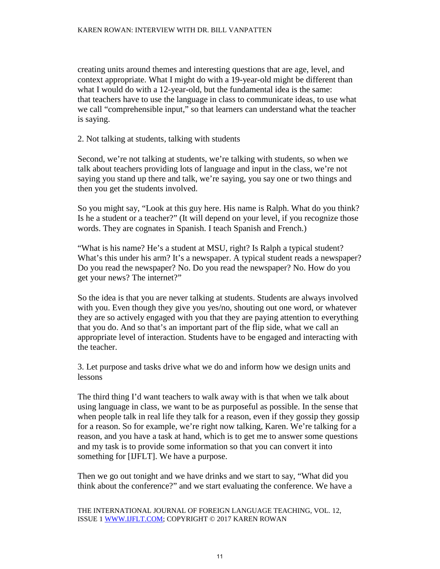## KAREN ROWAN: INTERVIEW WITH DR. BILL VANPATTEN

creating units around themes and interesting questions that are age, level, and context appropriate. What I might do with a 19-year-old might be different than what I would do with a 12-year-old, but the fundamental idea is the same: that teachers have to use the language in class to communicate ideas, to use what we call "comprehensible input," so that learners can understand what the teacher is saying.

2. Not talking at students, talking with students

Second, we're not talking at students, we're talking with students, so when we talk about teachers providing lots of language and input in the class, we're not saying you stand up there and talk, we're saying, you say one or two things and then you get the students involved.

So you might say, "Look at this guy here. His name is Ralph. What do you think? Is he a student or a teacher?" (It will depend on your level, if you recognize those words. They are cognates in Spanish. I teach Spanish and French.)

"What is his name? He's a student at MSU, right? Is Ralph a typical student? What's this under his arm? It's a newspaper. A typical student reads a newspaper? Do you read the newspaper? No. Do you read the newspaper? No. How do you get your news? The internet?"

So the idea is that you are never talking at students. Students are always involved with you. Even though they give you yes/no, shouting out one word, or whatever they are so actively engaged with you that they are paying attention to everything that you do. And so that's an important part of the flip side, what we call an appropriate level of interaction. Students have to be engaged and interacting with the teacher.

3. Let purpose and tasks drive what we do and inform how we design units and lessons

The third thing I'd want teachers to walk away with is that when we talk about using language in class, we want to be as purposeful as possible. In the sense that when people talk in real life they talk for a reason, even if they gossip they gossip for a reason. So for example, we're right now talking, Karen. We're talking for a reason, and you have a task at hand, which is to get me to answer some questions and my task is to provide some information so that you can convert it into something for [IJFLT]. We have a purpose.

Then we go out tonight and we have drinks and we start to say, "What did you think about the conference?" and we start evaluating the conference. We have a

THE INTERNATIONAL JOURNAL OF FOREIGN LANGUAGE TEACHING, VOL. 12, ISSUE 1 [WWW.IJFLT.COM;](mailto:ijtlteditor@gmail.com) COPYRIGHT © 2017 KAREN ROWAN